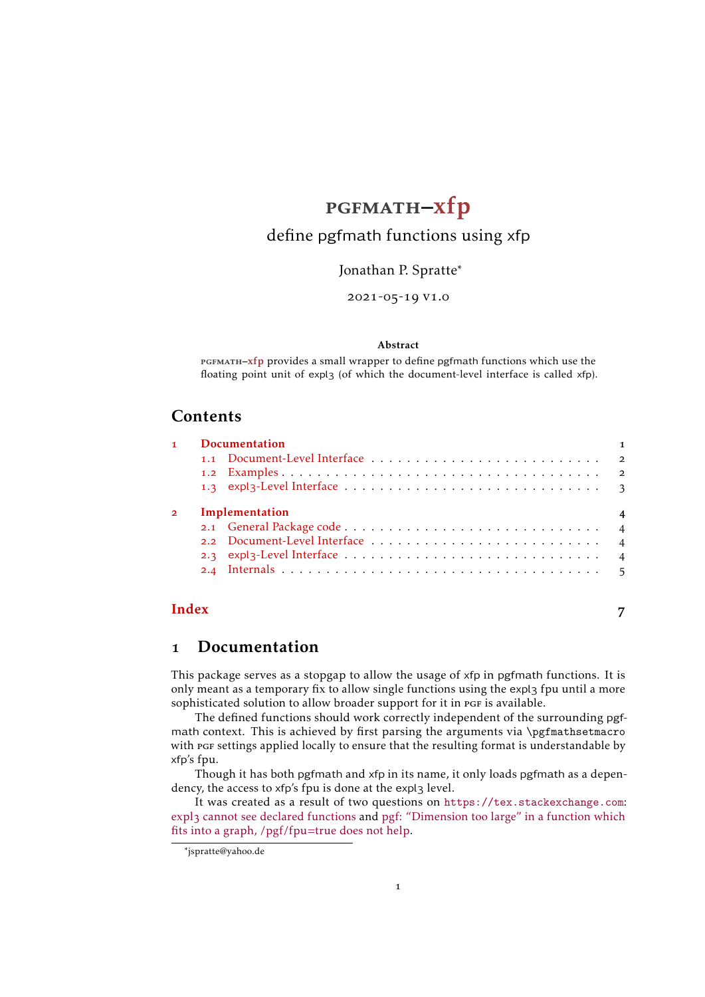## [pgfmath-xfp](https://github.com/Skillmon/ltx_pgfmath-xfp)

## <span id="page-0-1"></span>define pgfmath functions using xfp

Jonathan P. Spratte<sup>∗</sup>

2021-05-19 v1.0

#### Abstract

PGFMATH-xfp provides a small wrapper to define pgfmath functions which use the floating point unit of expl3 (of which the document-level interface is called xfp).

#### Contents

| $\mathbf{1}$   | <b>Documentation</b>             |  |  |  |  |
|----------------|----------------------------------|--|--|--|--|
|                |                                  |  |  |  |  |
|                |                                  |  |  |  |  |
|                |                                  |  |  |  |  |
| $\overline{2}$ | Implementation<br>$\overline{4}$ |  |  |  |  |
|                |                                  |  |  |  |  |
|                |                                  |  |  |  |  |
|                |                                  |  |  |  |  |
|                |                                  |  |  |  |  |
|                |                                  |  |  |  |  |

#### **[Index](#page-6-0)** 7

### <span id="page-0-0"></span>1 Documentation

This package serves as a stopgap to allow the usage of xfp in pgfmath functions. It is only meant as a temporary fix to allow single functions using the expl3 fpu until a more sophisticated solution to allow broader support for it in PGF is available.

The defined functions should work correctly independent of the surrounding pgfmath context. This is achieved by first parsing the arguments via \pgfmathsetmacro with pgf settings applied locally to ensure that the resulting format is understandable by xfp's fpu.

Though it has both pgfmath and xfp in its name, it only loads pgfmath as a dependency, the access to xfp's fpu is done at the expl3 level.

It was created as a result of two questions on <https://tex.stackexchange.com>: expl3 [cannot see declared functions](https://tex.stackexchange.com/q/597549/117050) and [pgf: "Dimension too large" in a function which](https://tex.stackexchange.com/q/584887/117050) [fits into a graph, /pgf/fpu=true does not help.](https://tex.stackexchange.com/q/584887/117050)

1

<sup>\*</sup>ispratte@vahoo.de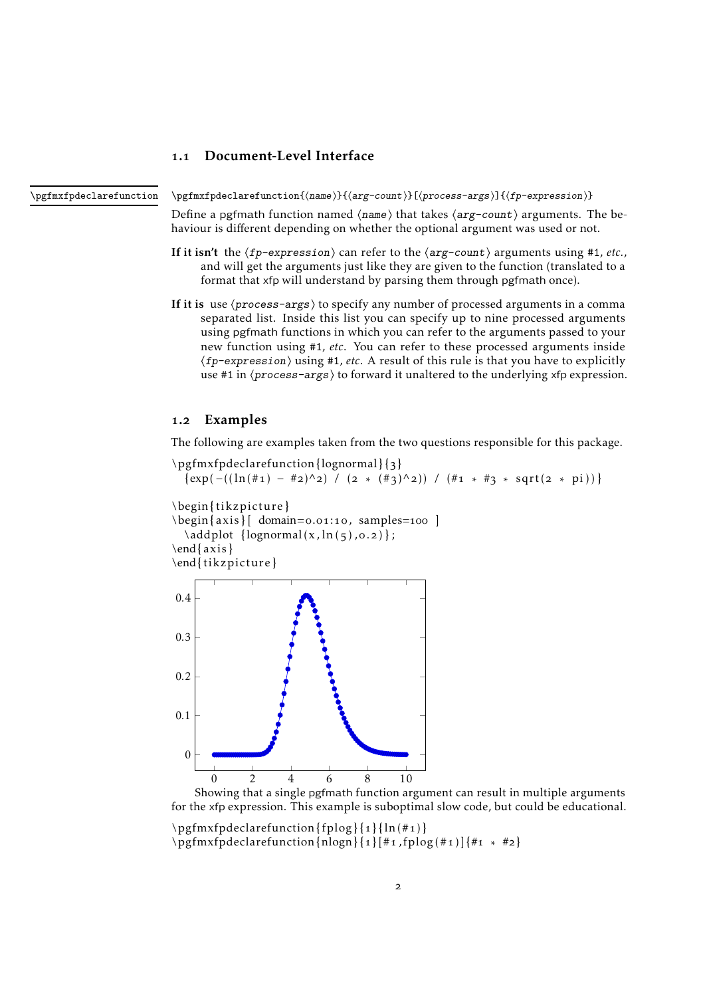#### <span id="page-1-3"></span><span id="page-1-0"></span>1.1 Document-Level Interface

<span id="page-1-2"></span>\pgfmxfpdeclarefunction{⟨name⟩}{⟨arg-count⟩}[⟨process-args⟩]{⟨fp-expression⟩} \pgfmxfpdeclarefunction

> Define a pgfmath function named  $\langle$ name $\rangle$  that takes  $\langle$ arg-count $\rangle$  arguments. The behaviour is different depending on whether the optional argument was used or not.

- If it isn't the  $\langle fp-expression \rangle$  can refer to the  $\langle arg-count \rangle$  arguments using #1, *etc.*, and will get the arguments just like they are given to the function (translated to a format that xfp will understand by parsing them through pgfmath once).
- If it is use  $\langle process\text{-}args\rangle$  to specify any number of processed arguments in a comma separated list. Inside this list you can specify up to nine processed arguments using pgfmath functions in which you can refer to the arguments passed to your new function using #1, *etc*. You can refer to these processed arguments inside ⟨fp-expression⟩ using #1, *etc*. A result of this rule is that you have to explicitly use #1 in  $\langle process\text{-}args\rangle$  to forward it unaltered to the underlying xfp expression.

#### <span id="page-1-1"></span>1.2 Examples

The following are examples taken from the two questions responsible for this package.

\pgfmxfpdeclarefunction{lognormal} {3}  $\{ \exp(-((\ln(\#_1) - \#_2)^{\wedge} 2) / (2 * (\#_3)^{\wedge} 2)) / (\#_1 * \#_3 * \sqrt{2} \times \pi_1) ) \}$ \begin{ tikzpicture }  $\begin{cases} \frac{axis}{\text{domain}=0.01:10, \text{samples}=100} \end{cases}$  $\addplot \{lognormal(x, ln(5), o.2)\};$ \end{ axis } \end{ tikzpicture } 0 2 4 6 8 10 0 0*.*1 0*.*2 0*.*3 0*.*4

Showing that a single pgfmath function argument can result in multiple arguments for the xfp expression. This example is suboptimal slow code, but could be educational.

\pgfmxfpdeclarefunction{ fplog} {1} { ln(#1) } \pgfmxfpdeclarefunction{nlogn} {1} [#1 ,fplog (#1)] {#1 ∗ #2}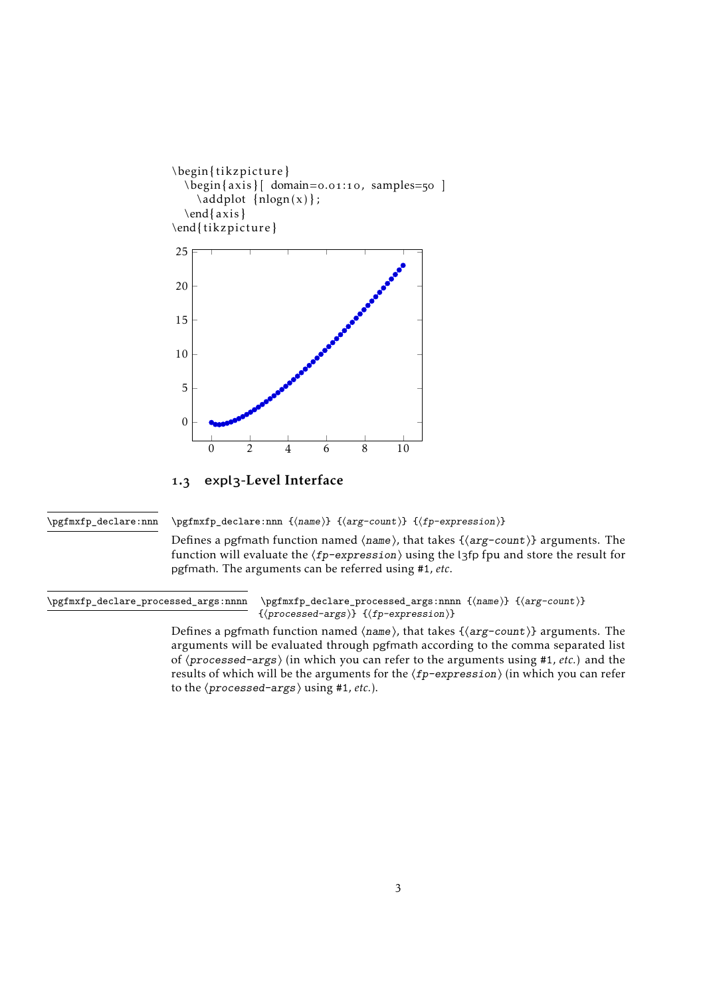<span id="page-2-3"></span>

<span id="page-2-0"></span>1.3 expl3-Level Interface

<span id="page-2-1"></span>\pgfmxfp\_declare:nnn

\pgfmxfp\_declare:nnn {⟨name⟩} {⟨arg-count⟩} {⟨fp-expression⟩}

Defines a pgfmath function named ⟨name⟩, that takes {⟨arg-count⟩} arguments. The function will evaluate the  $\langle fp\text{-}expression \rangle$  using the l3fp fpu and store the result for pgfmath. The arguments can be referred using #1, *etc*.

<span id="page-2-2"></span>\pgfmxfp\_declare\_processed\_args:nnnn {⟨name⟩} {⟨arg-count⟩} {⟨processed-args⟩} {⟨fp-expression⟩} \pgfmxfp\_declare\_processed\_args:nnnn

> Defines a pgfmath function named  $\langle$ name $\rangle$ , that takes  $\{\langle arg-count\rangle\}$  arguments. The arguments will be evaluated through pgfmath according to the comma separated list of ⟨processed-args⟩ (in which you can refer to the arguments using #1, *etc.*) and the results of which will be the arguments for the  $\langle fp-expression \rangle$  (in which you can refer to the ⟨processed-args⟩ using #1, *etc.*).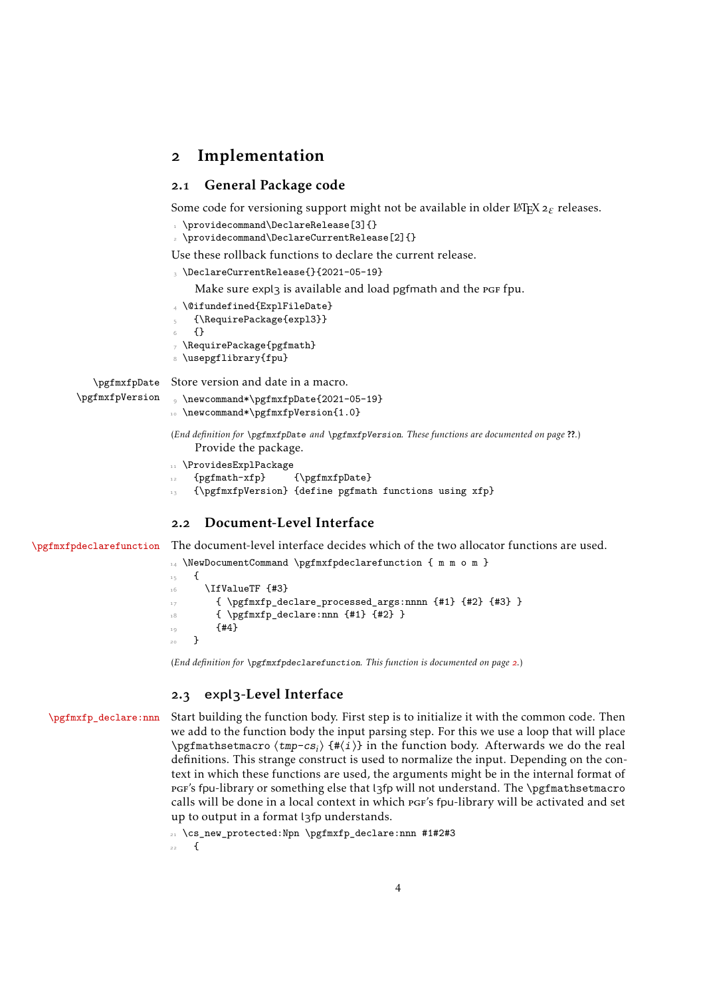#### <span id="page-3-12"></span><span id="page-3-0"></span>2 Implementation

#### <span id="page-3-1"></span>2.1 General Package code

Some code for versioning support might not be available in older L<sup>AT</sup>F<sub>X</sub>2<sub>ε</sub> releases.

- <span id="page-3-7"></span>\providecommand\DeclareRelease[3]{}
- <span id="page-3-5"></span>\providecommand\DeclareCurrentRelease[2]{}

Use these rollback functions to declare the current release.

<span id="page-3-6"></span><sup>3</sup> \DeclareCurrentRelease{}{2021-05-19}

Make sure expl3 is available and load pgfmath and the pgf fpu.

- <span id="page-3-23"></span><sup>4</sup> \@ifundefined{ExplFileDate}
- <span id="page-3-21"></span><sup>5</sup> {\RequirePackage{expl3}}
- <sup>6</sup> {}
- <span id="page-3-22"></span><sup>7</sup> \RequirePackage{pgfmath}
- <span id="page-3-24"></span>8 \usepgflibrary{fpu}

\pgfmxfpDate Store version and date in a macro.

```
\pgfmxfpVersion
```

```
9 \newcommand*\pgfmxfpDate{2021-05-19}
```

```
10 \newcommand*\pgfmxfpVersion{1.0}
```
(*End definition for* \pgfmxfpDate *and* \pgfmxfpVersion*. These functions are documented on page* ??*.*) Provide the package.

- <span id="page-3-20"></span>11 \ProvidesExplPackage
- <span id="page-3-17"></span>12 {pgfmath-xfp} {\pgfmxfpDate}
- <span id="page-3-19"></span>13 {\pgfmxfpVersion} {define pgfmath functions using xfp}

#### <span id="page-3-2"></span>2.2 Document-Level Interface

[\pgfmxfpdeclarefunction](#page-1-2) The document-level interface decides which of the two allocator functions are used.

```
14 \NewDocumentCommand \pgfmxfpdeclarefunction { m m o m }
15 \frac{1}{2}16 \IfValueTF {#3}
17 { \pgfmxfp_declare_processed_args:nnnn {#1} {#2} {#3} }
18 \{ \begin{array}{c} \text{41} \\ \text{42} \end{array}19 {#4}
20 }
```
<span id="page-3-13"></span>(*End definition for* \pgfmxfpdeclarefunction*. This function is documented on page [2](#page-1-2).*)

#### <span id="page-3-14"></span><span id="page-3-3"></span>2.3 expl3-Level Interface

[\pgfmxfp\\_declare:nnn](#page-2-1) Start building the function body. First step is to initialize it with the common code. Then we add to the function body the input parsing step. For this we use a loop that will place \pgfmathsetmacro ⟨tmp-cs*<sup>i</sup>* ⟩ {#⟨i⟩} in the function body. Afterwards we do the real definitions. This strange construct is used to normalize the input. Depending on the context in which these functions are used, the arguments might be in the internal format of pgf's fpu-library or something else that l3fp will not understand. The \pgfmathsetmacro calls will be done in a local context in which pgf's fpu-library will be activated and set up to output in a format l3fp understands.

<span id="page-3-4"></span><sup>21</sup> \cs\_new\_protected:Npn \pgfmxfp\_declare:nnn #1#2#3

22  $\{$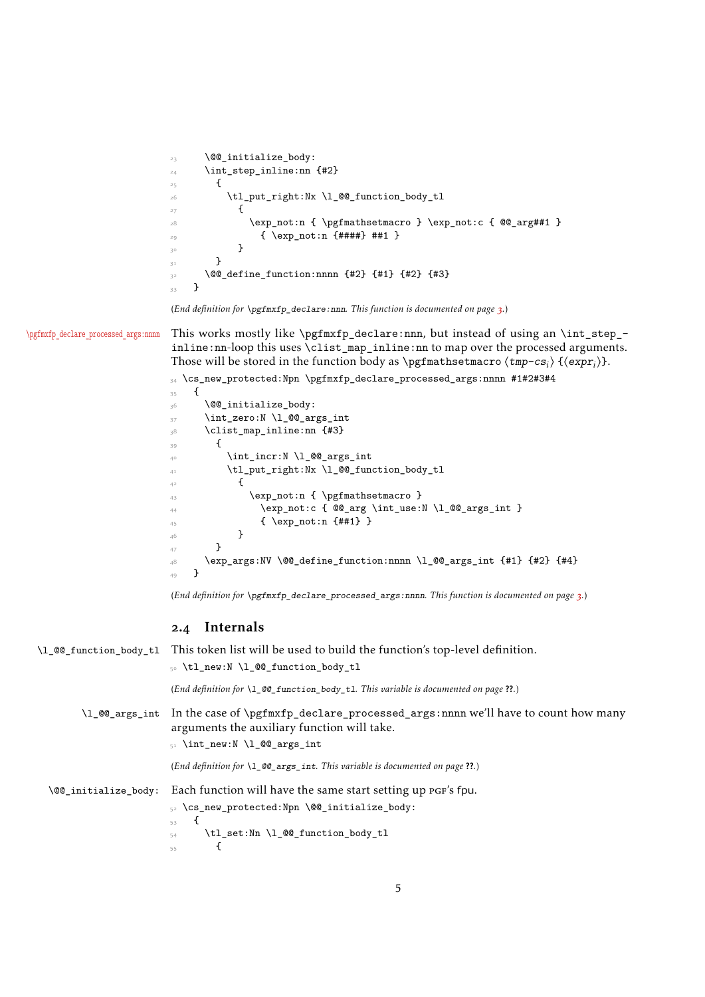```
23 \@@_initialize_body:
24 \int_step_inline:nn {#2}
25 f
26 \tl_put_right:Nx \l_@@_function_body_tl
2728 \exp_not:n { \pgfmathsetmacro } \exp_not:c { @qarg##1 }
29 \{ \exp\_{\text{not}:n \{ \# \# \# \} \# \# 1 \}\overline{30} }
\frac{3}{3} }
\frac{3}{2} \@@_define_function:nnnn {#2} {#1} {#2} {#3}
33 }
```

```
(End definition for \pgfmxfp_declare:nnn. This function is documented on page 3.)
```
[\pgfmxfp\\_declare\\_processed\\_args:nnnn](#page-2-2) This works mostly like \pgfmxfp\_declare:nnn, but instead of using an \int\_step\_ inline:nn-loop this uses \clist\_map\_inline:nn to map over the processed arguments. Those will be stored in the function body as \pgfmathsetmacro  $\langle \text{tmp-cs}_i \rangle$  { $\langle \text{expr}_i \rangle$ }.

```
34 \text{ } \cs_new_protected:Npn \pgfmxfp_declare_processed_args:nnnn #1#2#3#4
35 {
36 \@@_initialize_body:
37 \int_zero:N \l_@@_args_int
38 \clist_map_inline:nn {#3}
39 \qquad \qquad \qquad \qquad \qquad \qquad \qquad \qquad \qquad \qquad \qquad \qquad \qquad \qquad \qquad \qquad \qquad \qquad \qquad \qquad \qquad \qquad \qquad \qquad \qquad \qquad \qquad \qquad \qquad \qquad \qquad \qquad \qquad \qquad \qquad \qquad \q\downarrow<sup>40</sup> \int_incr:N \l_@@_args_int
41 \tl_put_right:Nx \l_@@_function_body_tl
\overline{4^2} \overline{\mathbf{5}^4}43 \exp_not:n { \pgfmathsetmacro }
\text{44} \exp_not:c { @Q_{\arg} \int \lceil \frac{1}{\arg \dim \lceil} \rceil45 { \exp_not:n {##1} }
46 }
```

```
48 \exp_args:NV \@@_define_function:nnnn \l_@@_args_int {#1} {#2} {#4}
49 }
```
(*End definition for* \pgfmxfp\_declare\_processed\_args:nnnn*. This function is documented on page [3](#page-2-2).*)

#### <span id="page-4-25"></span><span id="page-4-22"></span><span id="page-4-17"></span><span id="page-4-13"></span><span id="page-4-10"></span><span id="page-4-9"></span><span id="page-4-5"></span><span id="page-4-0"></span>2.4 Internals

<span id="page-4-21"></span><span id="page-4-20"></span><span id="page-4-8"></span><span id="page-4-3"></span>47 }

|                      | $\lceil \log_2$ function_body_t1 This token list will be used to build the function's top-level definition.<br>50 \tl_new:N \l_@@_function_body_tl                                        |
|----------------------|-------------------------------------------------------------------------------------------------------------------------------------------------------------------------------------------|
|                      | (End definition for $\lceil 1 \rceil$ $\lceil 0 \rceil$ function body t1. This variable is documented on page ??.)                                                                        |
|                      | $\1$ $@$ args int In the case of $\pgfmxfp$ declare processed args: nnnn we'll have to count how many<br>arguments the auxiliary function will take.<br>$_{51}$ \int_new:N \1_00_args_int |
|                      |                                                                                                                                                                                           |
|                      | (End definition for $\setminus 1$ @ args int. This variable is documented on page ??.)                                                                                                    |
| \@@_initialize_body: | Each function will have the same start setting up PGF's fpu.                                                                                                                              |
|                      | $_{52}$ \cs_new_protected:Npn \@@_initialize_body:                                                                                                                                        |
|                      | 53<br>\tl_set:Nn \l_@@_function_body_tl<br>54<br>55                                                                                                                                       |
|                      |                                                                                                                                                                                           |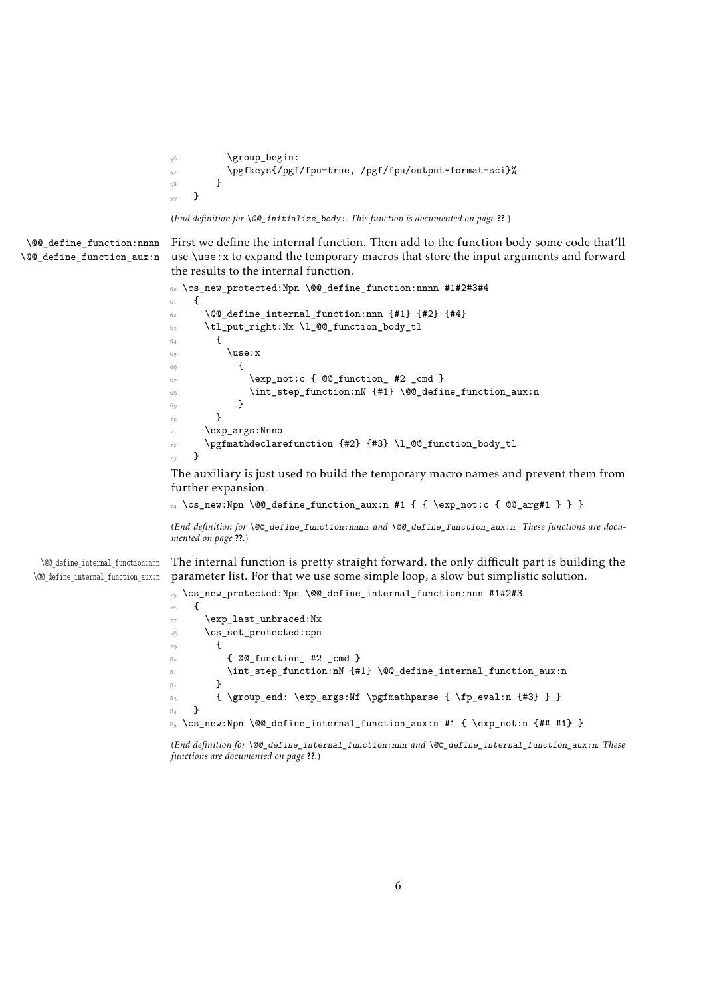```
56 \group_begin:
57 \pgfkeys{/pgf/fpu=true, /pgf/fpu/output~format=sci}%
58 }
59 }
```
(*End definition for* \@@\_initialize\_body:*. This function is documented on page* ??*.*)

\@@\_define\_function:nnnn \@@\_define\_function\_aux:n <span id="page-5-0"></span>First we define the internal function. Then add to the function body some code that'll use \use:x to expand the temporary macros that store the input arguments and forward the results to the internal function.

```
60 \cs_new_protected:Npn \@@_define_function:nnnn #1#2#3#4
61 \frac{1}{2}\hfill \text{62} \qquad \qquad \text{ \textbf{QQ}_define\_internal\_function:} \text{nnn } \text{ \textbf{#1} } \text{ } \text{ \textbf{#2} } \text{ } \text{ \textbf{#4} } \text{ \textbf{#3} }63 \tl_put_right:Nx \l_@@_function_body_tl
64 \uparrow65 \use:x
\epsilon66 {
67 \exp_not:c { @Q function #2 cmd }
68 \int_step_function:nN {#1} \@@_define_function_aux:n
69 }
70 }
71 \exp_args:Nnno
72 \pgfmathdeclarefunction {#2} {#3} \l_@@_function_body_tl
73 }
```
<span id="page-5-15"></span><span id="page-5-11"></span><span id="page-5-4"></span>The auxiliary is just used to build the temporary macro names and prevent them from further expansion.

```
_{74} \cs_new:Npn \@@_define_function_aux:n #1 { { \exp_not:c { @@_arg#1 } } }
```
(*End definition for* \@@\_define\_function:nnnn *and* \@@\_define\_function\_aux:n*. These functions are documented on page* ??*.*)

\@@\_define\_internal\_function:nnn \@@\_define\_internal\_function\_aux:n The internal function is pretty straight forward, the only difficult part is building the parameter list. For that we use some simple loop, a slow but simplistic solution.

<span id="page-5-8"></span><span id="page-5-2"></span><sup>75</sup> \cs\_new\_protected:Npn \@@\_define\_internal\_function:nnn #1#2#3

```
76 \frac{1}{20}77 \exp_last_unbraced:Nx
78 \cs_set_protected:cpn
79 {
80 			 { @Q function #2 cmd }
81 \int_81 \int_5 \int_5 \int_1 \frac{41}{1} \frac{6}{1} \int_2 \frac{1}{1} \frac{1}{1} \frac{1}{1} \frac{1}{1} \frac{1}{1} \frac{1}{1} \frac{1}{1} \frac{1}{1} \frac{1}{1} \frac{1}{1} \frac{1}{1} \frac{1}{1} \frac{1}{1} \frac{1}{1} \frac{1}{1} \frac{1}{1}8<sub>2</sub>83 { \group_end: \exp_args:Nf \pgfmathparse { \fp_eval:n {#3} } }
84 }
85 \text{ cos new:Npn } @ define_internal_function_aux:n #1 { \exp_not:n {## #1} }
```
<span id="page-5-10"></span><span id="page-5-6"></span><sup>(</sup>*End definition for* \@@\_define\_internal\_function:nnn *and* \@@\_define\_internal\_function\_aux:n*. These functions are documented on page* ??*.*)